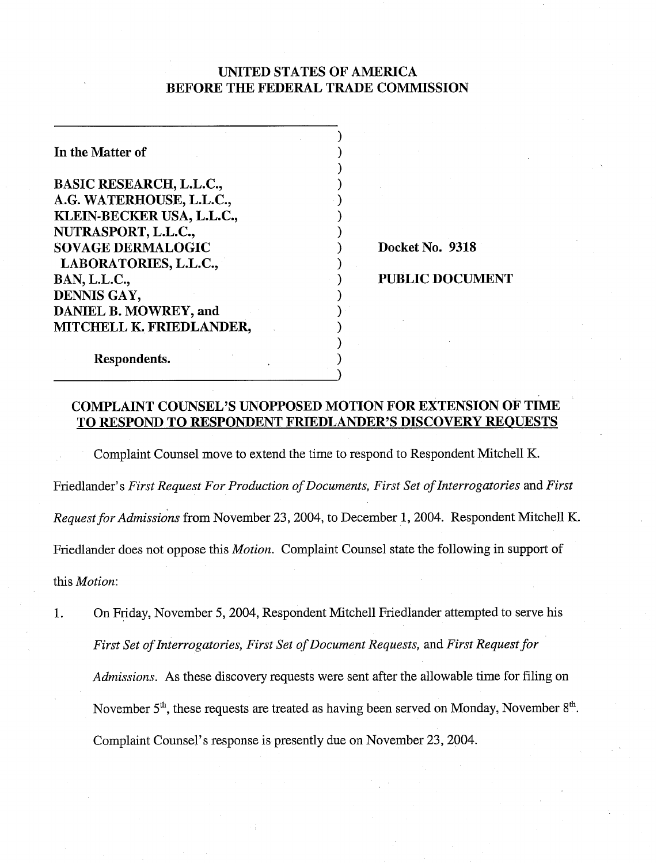## UNITED STATES OF AMERICA BEFORE THE FEDERAL TRADE COMMISSION

| In the Matter of               |  |
|--------------------------------|--|
|                                |  |
| <b>BASIC RESEARCH, L.L.C.,</b> |  |
| A.G. WATERHOUSE, L.L.C.,       |  |
| KLEIN-BECKER USA, L.L.C.,      |  |
| NUTRASPORT, L.L.C.,            |  |
| <b>SOVAGE DERMALOGIC</b>       |  |
| LABORATORIES, L.L.C.,          |  |
| <b>BAN, L.L.C.,</b>            |  |
| DENNIS GAY,                    |  |
| DANIEL B. MOWREY, and          |  |
| MITCHELL K. FRIEDLANDER,       |  |
|                                |  |
| Respondents.                   |  |

Docket No. 9318

#### PUBLIC DOCUMENT

## COMPLAINT COUNSEL'S UNOPPOSED MOTION FOR EXTENSION OF TIME TO RESPOND TO RESPONDENT FRIEDLANDER'S DISCOVERY REQUESTS

Complaint Counsel move to extend the time to respond to Respondent Mitchell K. Friedlander's *First Request For Production of Documents, First Set of Interrogatories* and *First Request for Admissions* from November 23,2004, to December 1,2004. Respondent Mitchell K. Friedlander does not oppose this *Motion.* Complaint Counsel state the following in support of this *Motion:* 

1. On Friday, November 5,2004, Respondent Mitchell Friedlander attempted to serve his *First Set of Interrogatories, First Set of Document Requests,* and *First Request for Admissions.* As these discovery requests were sent after the allowable time for filing on November  $5<sup>th</sup>$ , these requests are treated as having been served on Monday, November  $8<sup>th</sup>$ . Complaint Counsel's response is presently due on November 23,2004.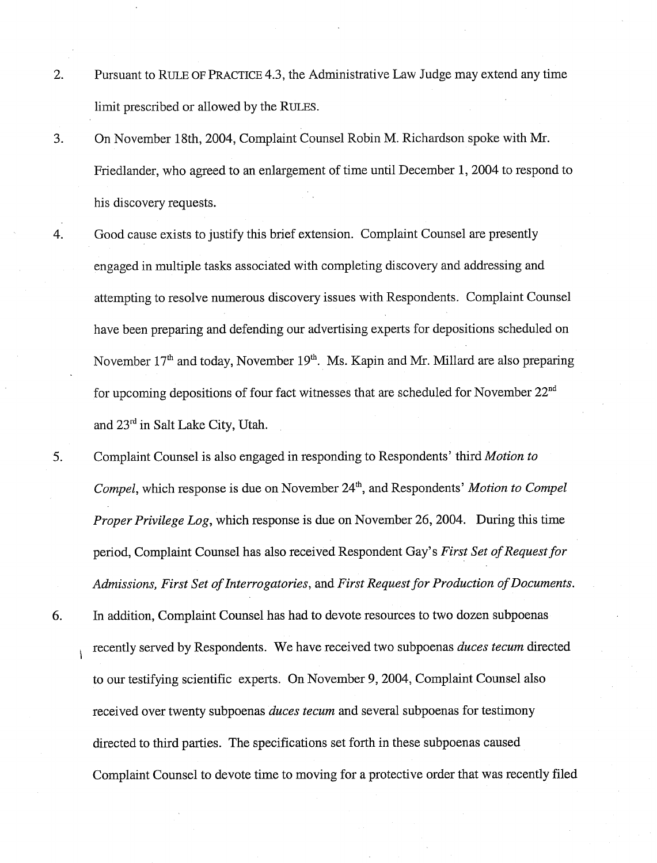- 2. Pursuant to RULE OF PRACTICE 4.3, the Administrative Law Judge may extend any time limit prescribed or allowed by the RULES.
- 3. On November 18th, 2004, Complaint Counsel Robin M. Richardson spoke with Mr. Friedlander, who agreed to an enlargement of time until December 1, 2004 to respond to his discovery requests.
- 4. Good cause exists to justify this brief extension. Complaint Counsel are presently engaged in multiple tasks associated with completing discovery and addressing and attempting to resolve numerous discovery issues with Respondents. Complaint Counsel have been preparing and defending our advertising experts for depositions scheduled on November  $17<sup>th</sup>$  and today, November  $19<sup>th</sup>$ . Ms. Kapin and Mr. Millard are also preparing for upcoming depositions of four fact witnesses that are scheduled for November  $22<sup>nd</sup>$ and 23rd in Salt Lake City, Utah.
- 5. Complaint Counsel is also engaged in responding to Respondents' third Motion to Compel, which response is due on November 24<sup>th</sup>, and Respondents' Motion to Compel Proper Privilege Log, which response is due on November 26,2004. During this time period, Complaint Counsel has also received Respondent Gay's First Set of Request for Admissions, First Set of Interrogatories, and First Request for Production of Documents.
- 6. In addition, Complaint Counsel has had to devote resources to two dozen subpoenas recently served by Respondents. We have received two subpoenas duces tecum directed to our testifying scientific experts. On November 9,2004, Complaint Counsel also received over twenty subpoenas *duces tecum* and several subpoenas for testimony directed to third parties. The specifications set forth in these subpoenas caused Complaint Counsel to devote time to moving for a protective order that was recently filed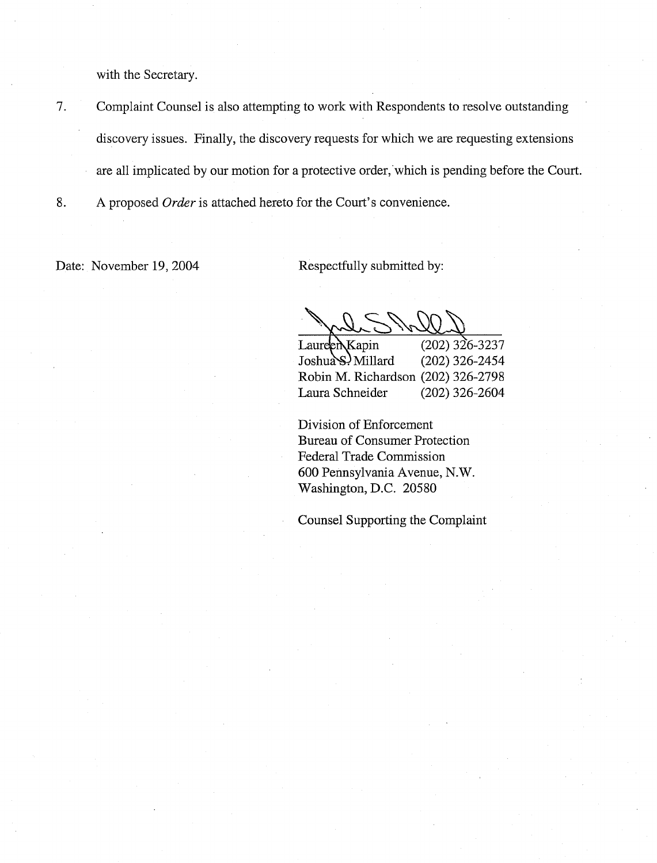with the Secretary.

- 7. Complaint Counsel is also attempting to work with Respondents to resolve outstanding discovery issues. Finally, the discovery requests for which we are requesting extensions are all implicated by our motion for a protective order, which is pending before the Court.
- 8. A proposed *Order* is attached hereto for the Court's convenience.

Date: November 19, 2004 Respectfully submitted by:

Laureen Kapin (202) 326-3237<br>Joshua S. Millard (202) 326-2454 Robin M. Richardson (202) 326-2798 Laura Schneider (202) 326-2604

Division of Enforcement Bureau of Consumer Protection Federal Trade Commission 600 Pennsylvania Avenue, N. W. Washington, D.C. 20580

Counsel Supporting the Complaint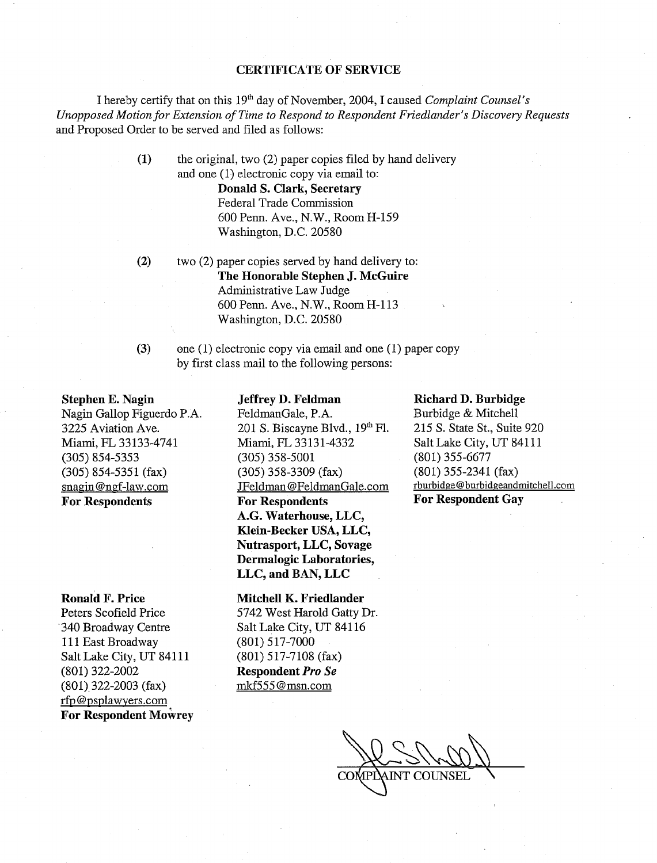#### **CERTIFICATE OF SERVICE**

I hereby certify that on this 19<sup>th</sup> day of November, 2004, I caused *Complaint Counsel's Unopposed Motion* **for** *Extension of Time to Respond to Respondent Friedlmzder's Discovery Requests*  and Proposed Order to be served and filed as follows:

> **(1)** the original, two (2) paper copies filed by hand delivery and one (1) electronic copy via email to:

> > **Donald S. Clark, Secretary**  Federal Trade Commission 600 Penn. Ave., N.W., Room H-159 Washington, D.C. 20580

**(2)** two (2) paper copies served by hand delivery to: **The Honorable Stephen J. McGuire**  Administrative Law Judge 600 Penn. Ave., N.W., Room H-113 Washington, D.C. 20580

**(3)** one (I) electronic copy via email and one (1) paper copy

**Jeffrey D. Feldman** 

by first class mail to the following persons:

**Stephen E. Nagin**  Nagin Gallop Figuerdo P.A. 3225 Aviation Ave. Miami, FL 33 133-4741 (305) 854-5353 (305) 854-5351 (fax) snagin@ngf-law.com **For Respondents** 

**Ronald F. Price** 

Peters Scofield Price '340 Broadway Centre 111 East Broadway Salt Lake City, UT 84111 (801) 322-2002 (801) 322-2003 (fax) rfp@psplawyers.com **For Respondent Mowrey**  FeldmanGale, P.A. 201 S. Biscayne Blvd., 19" F1. Miami, FL 33131-4332 (305) 358-5001 (305) 358-3309 (fax) JFeldman @FeIdmanGale.com **For Respondents A.G. Waterhouse, LLC, Klein-Becker USA, LLC, Nutrasport, LLC, Sovage Dermalogic Laboratories, LLC, and BAN, LLC** 

**Mitchell K. Friedlander**  5742 West Harold Gatty Dr. Salt Lake City, UT 841 16 (801) 517-7000 (801) 5 17-7108 (fax) **Respondent** *Pro Se*  mkf55.5 @msn.com

#### **Richard D. Burbidge**

Burbidge & Mitchell 215 S. State St., Suite 920 Salt Lake City, UT 84111 (801) 355-6677 (801) 355-2341 (fax) rburbidge@burbidgeandmitchell.com **For Respondent Gay**